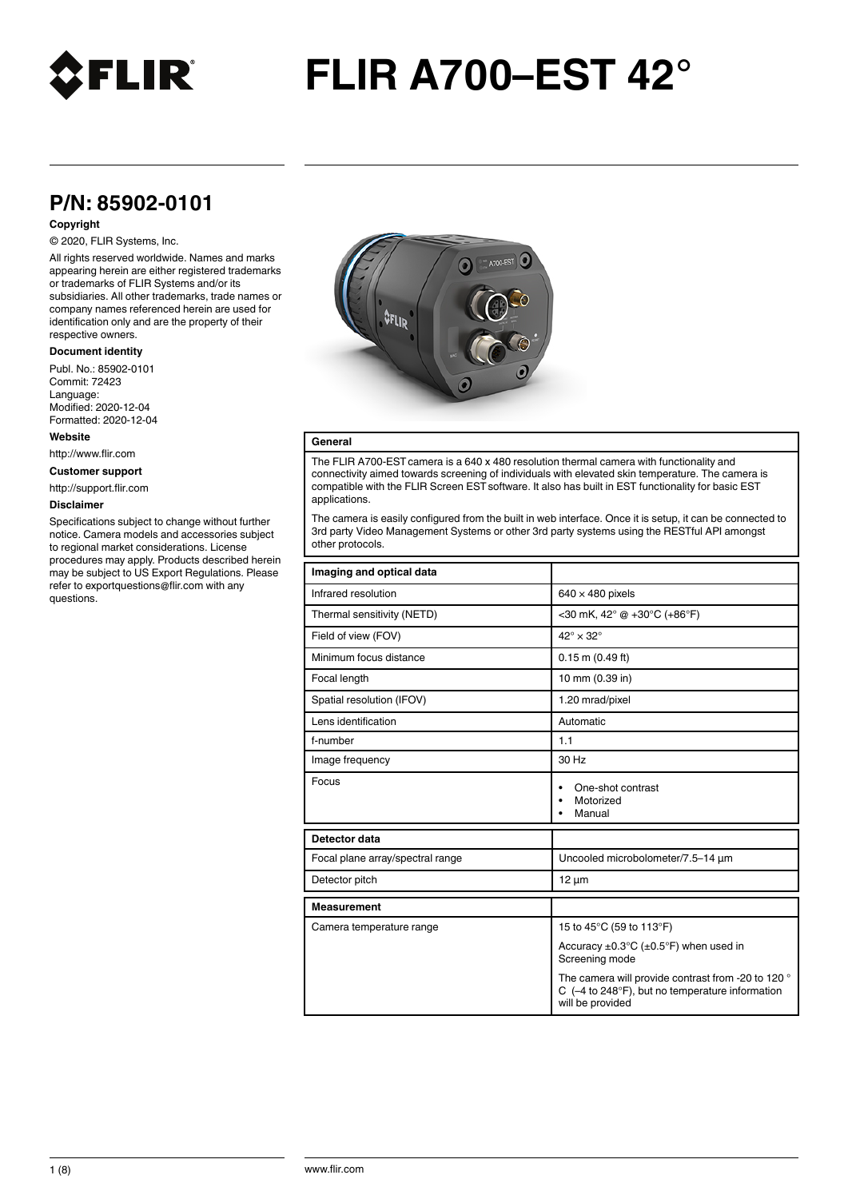

## **P/N: 85902-0101**

### **Copyright**

#### © 2020, FLIR Systems, Inc.

All rights reserved worldwide. Names and marks appearing herein are either registered trademarks or trademarks of FLIR Systems and/or its subsidiaries. All other trademarks, trade names or company names referenced herein are used for identification only and are the property of their respective owners.

#### **Document identity**

Publ. No.: 85902-0101 Commit: 72423 Language: Modified: 2020-12-04 Formatted: 2020-12-04

#### **Website**

http://www.flir.com

**Customer support**

http://support.flir.com

#### **Disclaimer**

Specifications subject to change without further notice. Camera models and accessories subject to regional market considerations. License procedures may apply. Products described herein may be subject to US Export Regulations. Please refer to exportquestions@flir.com with any questions.



#### **General**

The FLIR A700-EST camera is a 640 x 480 resolution thermal camera with functionality and connectivity aimed towards screening of individuals with elevated skin temperature. The camera is compatible with the FLIR Screen EST software. It also has built in EST functionality for basic EST applications.

The camera is easily configured from the built in web interface. Once it is setup, it can be connected to 3rd party Video Management Systems or other 3rd party systems using the RESTful API amongst other protocols.

| Imaging and optical data         |                                                                                                                              |  |
|----------------------------------|------------------------------------------------------------------------------------------------------------------------------|--|
| Infrared resolution              | $640 \times 480$ pixels                                                                                                      |  |
| Thermal sensitivity (NETD)       | <30 mK, $42^{\circ}$ @ +30 $^{\circ}$ C (+86 $^{\circ}$ F)                                                                   |  |
| Field of view (FOV)              | $42^{\circ} \times 32^{\circ}$                                                                                               |  |
| Minimum focus distance           | $0.15$ m $(0.49$ ft)                                                                                                         |  |
| Focal length                     | 10 mm (0.39 in)                                                                                                              |  |
| Spatial resolution (IFOV)        | 1.20 mrad/pixel                                                                                                              |  |
| Lens identification              | Automatic                                                                                                                    |  |
| f-number                         | 1.1                                                                                                                          |  |
| Image frequency                  | 30 Hz                                                                                                                        |  |
| Focus                            | One-shot contrast<br>Motorized<br>Manual                                                                                     |  |
| Detector data                    |                                                                                                                              |  |
| Focal plane array/spectral range | Uncooled microbolometer/7.5-14 µm                                                                                            |  |
| Detector pitch                   | $12 \mu m$                                                                                                                   |  |
| <b>Measurement</b>               |                                                                                                                              |  |
| Camera temperature range         | 15 to 45°C (59 to 113°F)                                                                                                     |  |
|                                  | Accuracy $\pm 0.3^{\circ}$ C ( $\pm 0.5^{\circ}$ F) when used in<br>Screening mode                                           |  |
|                                  | The camera will provide contrast from -20 to 120 °<br>C $(-4)$ to 248°F), but no temperature information<br>will be provided |  |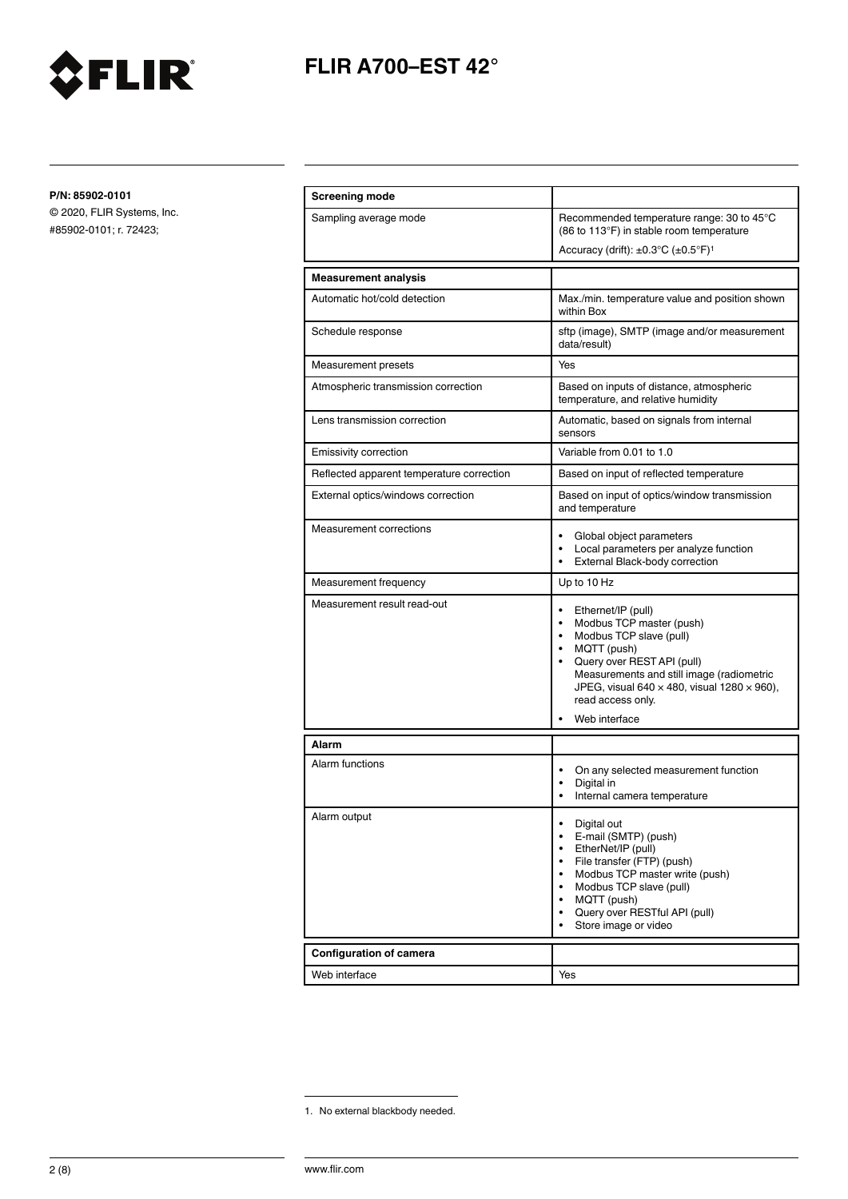

**P/N: 85902-0101**

| <b>Screening mode</b>                     |                                                                                                                                                                                                                                                                                                                                         |  |
|-------------------------------------------|-----------------------------------------------------------------------------------------------------------------------------------------------------------------------------------------------------------------------------------------------------------------------------------------------------------------------------------------|--|
| Sampling average mode                     | Recommended temperature range: 30 to 45°C<br>(86 to 113°F) in stable room temperature                                                                                                                                                                                                                                                   |  |
|                                           | Accuracy (drift): $\pm 0.3^{\circ}$ C ( $\pm 0.5^{\circ}$ F) <sup>1</sup>                                                                                                                                                                                                                                                               |  |
| <b>Measurement analysis</b>               |                                                                                                                                                                                                                                                                                                                                         |  |
| Automatic hot/cold detection              | Max./min. temperature value and position shown<br>within Box                                                                                                                                                                                                                                                                            |  |
| Schedule response                         | sftp (image), SMTP (image and/or measurement<br>data/result)                                                                                                                                                                                                                                                                            |  |
| Measurement presets                       | Yes                                                                                                                                                                                                                                                                                                                                     |  |
| Atmospheric transmission correction       | Based on inputs of distance, atmospheric<br>temperature, and relative humidity                                                                                                                                                                                                                                                          |  |
| Lens transmission correction              | Automatic, based on signals from internal<br>sensors                                                                                                                                                                                                                                                                                    |  |
| Emissivity correction                     | Variable from 0.01 to 1.0                                                                                                                                                                                                                                                                                                               |  |
| Reflected apparent temperature correction | Based on input of reflected temperature                                                                                                                                                                                                                                                                                                 |  |
| External optics/windows correction        | Based on input of optics/window transmission<br>and temperature                                                                                                                                                                                                                                                                         |  |
| Measurement corrections                   | ٠<br>Global object parameters<br>Local parameters per analyze function<br>٠<br>External Black-body correction<br>٠                                                                                                                                                                                                                      |  |
| Measurement frequency                     | Up to 10 Hz                                                                                                                                                                                                                                                                                                                             |  |
| Measurement result read-out               | $\bullet$<br>Ethernet/IP (pull)<br>Modbus TCP master (push)<br>$\bullet$<br>Modbus TCP slave (pull)<br>$\bullet$<br>MQTT (push)<br>$\bullet$<br>Query over REST API (pull)<br>$\bullet$<br>Measurements and still image (radiometric<br>JPEG, visual 640 $\times$ 480, visual 1280 $\times$ 960),<br>read access only.<br>Web interface |  |
| <b>Alarm</b>                              |                                                                                                                                                                                                                                                                                                                                         |  |
| Alarm functions                           | On any selected measurement function<br>$\bullet$<br>Digital in<br>$\bullet$<br>Internal camera temperature                                                                                                                                                                                                                             |  |
| Alarm output                              | Digital out<br>E-mail (SMTP) (push)<br>EtherNet/IP (pull)<br>File transfer (FTP) (push)<br>Modbus TCP master write (push)<br>Modbus TCP slave (pull)<br>MQTT (push)<br>$\bullet$<br>Query over RESTful API (pull)<br>Store image or video                                                                                               |  |
| Configuration of camera                   |                                                                                                                                                                                                                                                                                                                                         |  |
| Web interface                             | Yes                                                                                                                                                                                                                                                                                                                                     |  |

<sup>1.</sup> No external blackbody needed.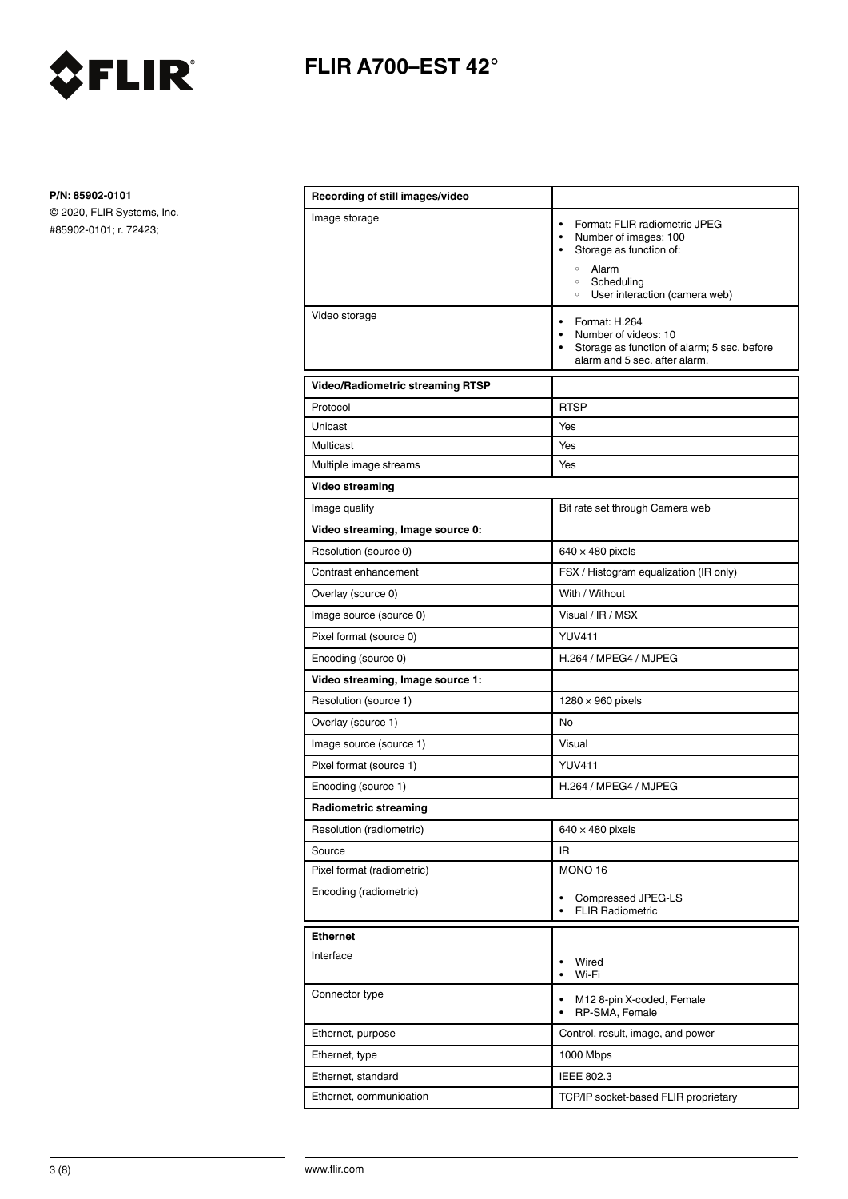

**P/N: 85902-0101**

| Image storage<br>Format: FLIR radiometric JPEG<br>$\bullet$<br>Number of images: 100<br>$\bullet$<br>Storage as function of:<br>$\bullet$<br>$\circ$<br>Alarm<br>Scheduling<br>$\circ$<br>User interaction (camera web)<br>$\circ$<br>Video storage<br>Format: H.264<br>$\bullet$<br>Number of videos: 10<br>$\bullet$<br>Storage as function of alarm; 5 sec. before<br>$\bullet$<br>alarm and 5 sec. after alarm.<br><b>Video/Radiometric streaming RTSP</b><br>Protocol<br><b>RTSP</b><br>Unicast<br>Yes<br>Multicast<br>Yes<br>Yes<br>Multiple image streams<br>Video streaming<br>Image quality<br>Bit rate set through Camera web<br>Video streaming, Image source 0:<br>Resolution (source 0)<br>$640 \times 480$ pixels<br>Contrast enhancement<br>FSX / Histogram equalization (IR only)<br>With / Without<br>Overlay (source 0)<br>Visual / IR / MSX<br>Image source (source 0)<br><b>YUV411</b><br>Pixel format (source 0)<br>Encoding (source 0)<br>H.264 / MPEG4 / MJPEG<br>Video streaming, Image source 1:<br>Resolution (source 1)<br>$1280 \times 960$ pixels |
|--------------------------------------------------------------------------------------------------------------------------------------------------------------------------------------------------------------------------------------------------------------------------------------------------------------------------------------------------------------------------------------------------------------------------------------------------------------------------------------------------------------------------------------------------------------------------------------------------------------------------------------------------------------------------------------------------------------------------------------------------------------------------------------------------------------------------------------------------------------------------------------------------------------------------------------------------------------------------------------------------------------------------------------------------------------------------------|
|                                                                                                                                                                                                                                                                                                                                                                                                                                                                                                                                                                                                                                                                                                                                                                                                                                                                                                                                                                                                                                                                                |
|                                                                                                                                                                                                                                                                                                                                                                                                                                                                                                                                                                                                                                                                                                                                                                                                                                                                                                                                                                                                                                                                                |
|                                                                                                                                                                                                                                                                                                                                                                                                                                                                                                                                                                                                                                                                                                                                                                                                                                                                                                                                                                                                                                                                                |
|                                                                                                                                                                                                                                                                                                                                                                                                                                                                                                                                                                                                                                                                                                                                                                                                                                                                                                                                                                                                                                                                                |
|                                                                                                                                                                                                                                                                                                                                                                                                                                                                                                                                                                                                                                                                                                                                                                                                                                                                                                                                                                                                                                                                                |
|                                                                                                                                                                                                                                                                                                                                                                                                                                                                                                                                                                                                                                                                                                                                                                                                                                                                                                                                                                                                                                                                                |
|                                                                                                                                                                                                                                                                                                                                                                                                                                                                                                                                                                                                                                                                                                                                                                                                                                                                                                                                                                                                                                                                                |
|                                                                                                                                                                                                                                                                                                                                                                                                                                                                                                                                                                                                                                                                                                                                                                                                                                                                                                                                                                                                                                                                                |
|                                                                                                                                                                                                                                                                                                                                                                                                                                                                                                                                                                                                                                                                                                                                                                                                                                                                                                                                                                                                                                                                                |
|                                                                                                                                                                                                                                                                                                                                                                                                                                                                                                                                                                                                                                                                                                                                                                                                                                                                                                                                                                                                                                                                                |
|                                                                                                                                                                                                                                                                                                                                                                                                                                                                                                                                                                                                                                                                                                                                                                                                                                                                                                                                                                                                                                                                                |
|                                                                                                                                                                                                                                                                                                                                                                                                                                                                                                                                                                                                                                                                                                                                                                                                                                                                                                                                                                                                                                                                                |
|                                                                                                                                                                                                                                                                                                                                                                                                                                                                                                                                                                                                                                                                                                                                                                                                                                                                                                                                                                                                                                                                                |
|                                                                                                                                                                                                                                                                                                                                                                                                                                                                                                                                                                                                                                                                                                                                                                                                                                                                                                                                                                                                                                                                                |
|                                                                                                                                                                                                                                                                                                                                                                                                                                                                                                                                                                                                                                                                                                                                                                                                                                                                                                                                                                                                                                                                                |
|                                                                                                                                                                                                                                                                                                                                                                                                                                                                                                                                                                                                                                                                                                                                                                                                                                                                                                                                                                                                                                                                                |
|                                                                                                                                                                                                                                                                                                                                                                                                                                                                                                                                                                                                                                                                                                                                                                                                                                                                                                                                                                                                                                                                                |
|                                                                                                                                                                                                                                                                                                                                                                                                                                                                                                                                                                                                                                                                                                                                                                                                                                                                                                                                                                                                                                                                                |
| <b>No</b><br>Overlay (source 1)                                                                                                                                                                                                                                                                                                                                                                                                                                                                                                                                                                                                                                                                                                                                                                                                                                                                                                                                                                                                                                                |
| Visual<br>Image source (source 1)                                                                                                                                                                                                                                                                                                                                                                                                                                                                                                                                                                                                                                                                                                                                                                                                                                                                                                                                                                                                                                              |
| <b>YUV411</b><br>Pixel format (source 1)                                                                                                                                                                                                                                                                                                                                                                                                                                                                                                                                                                                                                                                                                                                                                                                                                                                                                                                                                                                                                                       |
| Encoding (source 1)<br>H.264 / MPEG4 / MJPEG                                                                                                                                                                                                                                                                                                                                                                                                                                                                                                                                                                                                                                                                                                                                                                                                                                                                                                                                                                                                                                   |
| Radiometric streaming                                                                                                                                                                                                                                                                                                                                                                                                                                                                                                                                                                                                                                                                                                                                                                                                                                                                                                                                                                                                                                                          |
| Resolution (radiometric)<br>$640 \times 480$ pixels                                                                                                                                                                                                                                                                                                                                                                                                                                                                                                                                                                                                                                                                                                                                                                                                                                                                                                                                                                                                                            |
| Source<br>IR.                                                                                                                                                                                                                                                                                                                                                                                                                                                                                                                                                                                                                                                                                                                                                                                                                                                                                                                                                                                                                                                                  |
| MONO 16<br>Pixel format (radiometric)                                                                                                                                                                                                                                                                                                                                                                                                                                                                                                                                                                                                                                                                                                                                                                                                                                                                                                                                                                                                                                          |
| Encoding (radiometric)<br>Compressed JPEG-LS<br>$\bullet$<br><b>FLIR Radiometric</b><br>$\bullet$                                                                                                                                                                                                                                                                                                                                                                                                                                                                                                                                                                                                                                                                                                                                                                                                                                                                                                                                                                              |
| <b>Ethernet</b>                                                                                                                                                                                                                                                                                                                                                                                                                                                                                                                                                                                                                                                                                                                                                                                                                                                                                                                                                                                                                                                                |
| Interface<br>Wired<br>٠<br>Wi-Fi<br>$\bullet$                                                                                                                                                                                                                                                                                                                                                                                                                                                                                                                                                                                                                                                                                                                                                                                                                                                                                                                                                                                                                                  |
| Connector type<br>M12 8-pin X-coded, Female<br>٠<br>RP-SMA, Female<br>$\bullet$                                                                                                                                                                                                                                                                                                                                                                                                                                                                                                                                                                                                                                                                                                                                                                                                                                                                                                                                                                                                |
| Ethernet, purpose<br>Control, result, image, and power                                                                                                                                                                                                                                                                                                                                                                                                                                                                                                                                                                                                                                                                                                                                                                                                                                                                                                                                                                                                                         |
| Ethernet, type<br>1000 Mbps                                                                                                                                                                                                                                                                                                                                                                                                                                                                                                                                                                                                                                                                                                                                                                                                                                                                                                                                                                                                                                                    |
|                                                                                                                                                                                                                                                                                                                                                                                                                                                                                                                                                                                                                                                                                                                                                                                                                                                                                                                                                                                                                                                                                |
| Ethernet, standard<br>IEEE 802.3                                                                                                                                                                                                                                                                                                                                                                                                                                                                                                                                                                                                                                                                                                                                                                                                                                                                                                                                                                                                                                               |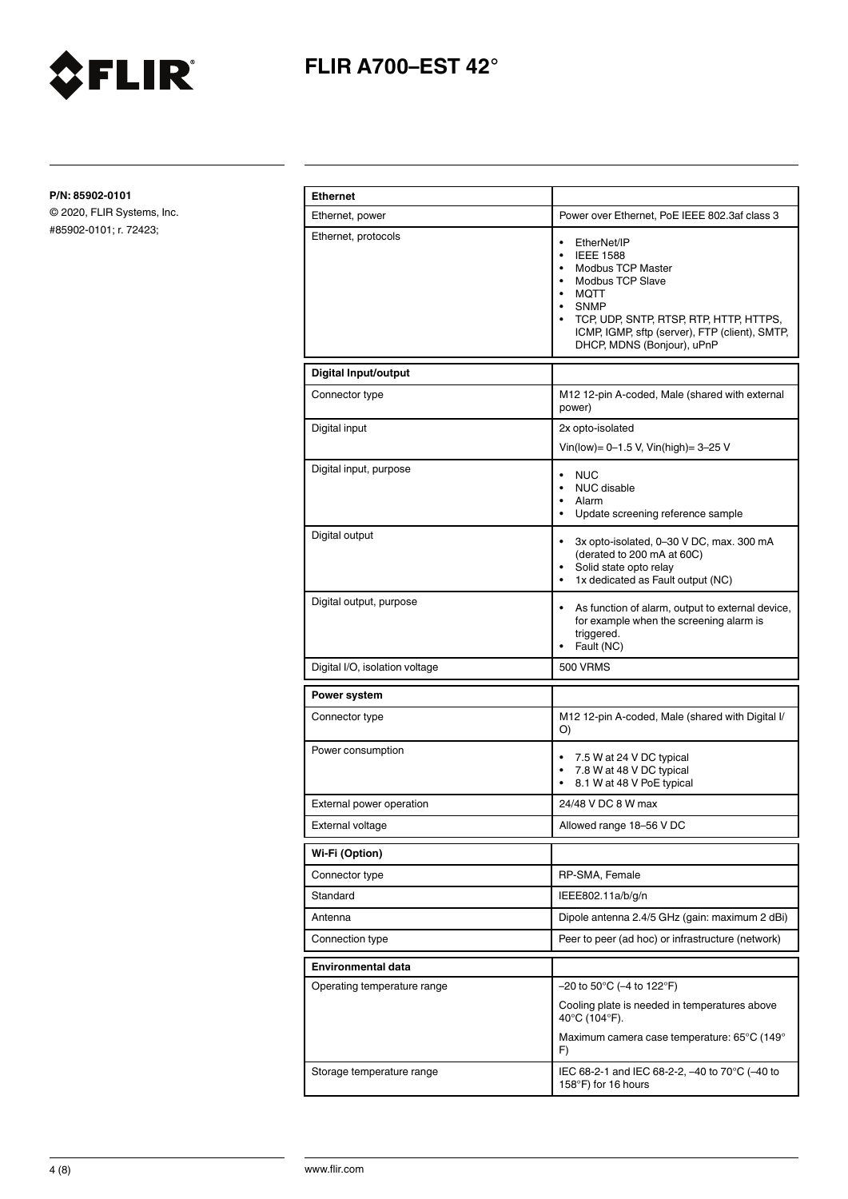

**P/N: 85902-0101**

| <b>Ethernet</b>                |                                                                                                                                                                                                                                                                                                                                     |  |
|--------------------------------|-------------------------------------------------------------------------------------------------------------------------------------------------------------------------------------------------------------------------------------------------------------------------------------------------------------------------------------|--|
| Ethernet, power                | Power over Ethernet, PoE IEEE 802.3af class 3                                                                                                                                                                                                                                                                                       |  |
| Ethernet, protocols            | $\bullet$<br>EtherNet/IP<br><b>IEEE 1588</b><br>$\bullet$<br>Modbus TCP Master<br>$\bullet$<br><b>Modbus TCP Slave</b><br>$\bullet$<br><b>MOTT</b><br>$\bullet$<br><b>SNMP</b><br>$\bullet$<br>TCP, UDP, SNTP, RTSP, RTP, HTTP, HTTPS,<br>$\bullet$<br>ICMP, IGMP, sftp (server), FTP (client), SMTP,<br>DHCP, MDNS (Bonjour), uPnP |  |
| <b>Digital Input/output</b>    |                                                                                                                                                                                                                                                                                                                                     |  |
| Connector type                 | M12 12-pin A-coded, Male (shared with external<br>power)                                                                                                                                                                                                                                                                            |  |
| Digital input                  | 2x opto-isolated<br>Vin(low)= 0-1.5 V, Vin(high)= 3-25 V                                                                                                                                                                                                                                                                            |  |
| Digital input, purpose         | <b>NUC</b><br>$\bullet$<br><b>NUC</b> disable<br>$\bullet$<br>Alarm<br>$\bullet$<br>Update screening reference sample<br>$\bullet$                                                                                                                                                                                                  |  |
| Digital output                 | 3x opto-isolated, 0-30 V DC, max. 300 mA<br>٠<br>(derated to 200 mA at 60C)<br>Solid state opto relay<br>٠<br>1x dedicated as Fault output (NC)<br>٠                                                                                                                                                                                |  |
| Digital output, purpose        | As function of alarm, output to external device,<br>٠<br>for example when the screening alarm is<br>triggered.<br>Fault (NC)                                                                                                                                                                                                        |  |
| Digital I/O, isolation voltage | <b>500 VRMS</b>                                                                                                                                                                                                                                                                                                                     |  |
| Power system                   |                                                                                                                                                                                                                                                                                                                                     |  |
| Connector type                 | M12 12-pin A-coded, Male (shared with Digital I/<br>O)                                                                                                                                                                                                                                                                              |  |
| Power consumption              | 7.5 W at 24 V DC typical<br>7.8 W at 48 V DC typical<br>٠<br>8.1 W at 48 V PoE typical<br>٠                                                                                                                                                                                                                                         |  |
| External power operation       | 24/48 V DC 8 W max                                                                                                                                                                                                                                                                                                                  |  |
| External voltage               | Allowed range 18-56 V DC                                                                                                                                                                                                                                                                                                            |  |
| Wi-Fi (Option)                 |                                                                                                                                                                                                                                                                                                                                     |  |
| Connector type                 | RP-SMA, Female                                                                                                                                                                                                                                                                                                                      |  |
| Standard                       | IEEE802.11a/b/g/n                                                                                                                                                                                                                                                                                                                   |  |
| Antenna                        | Dipole antenna 2.4/5 GHz (gain: maximum 2 dBi)                                                                                                                                                                                                                                                                                      |  |
| Connection type                | Peer to peer (ad hoc) or infrastructure (network)                                                                                                                                                                                                                                                                                   |  |
| Environmental data             |                                                                                                                                                                                                                                                                                                                                     |  |
| Operating temperature range    | $-20$ to 50°C ( $-4$ to 122°F)<br>Cooling plate is needed in temperatures above<br>40°C (104°F).<br>Maximum camera case temperature: 65°C (149°<br>F)                                                                                                                                                                               |  |
| Storage temperature range      | IEC 68-2-1 and IEC 68-2-2, -40 to 70°C (-40 to<br>158°F) for 16 hours                                                                                                                                                                                                                                                               |  |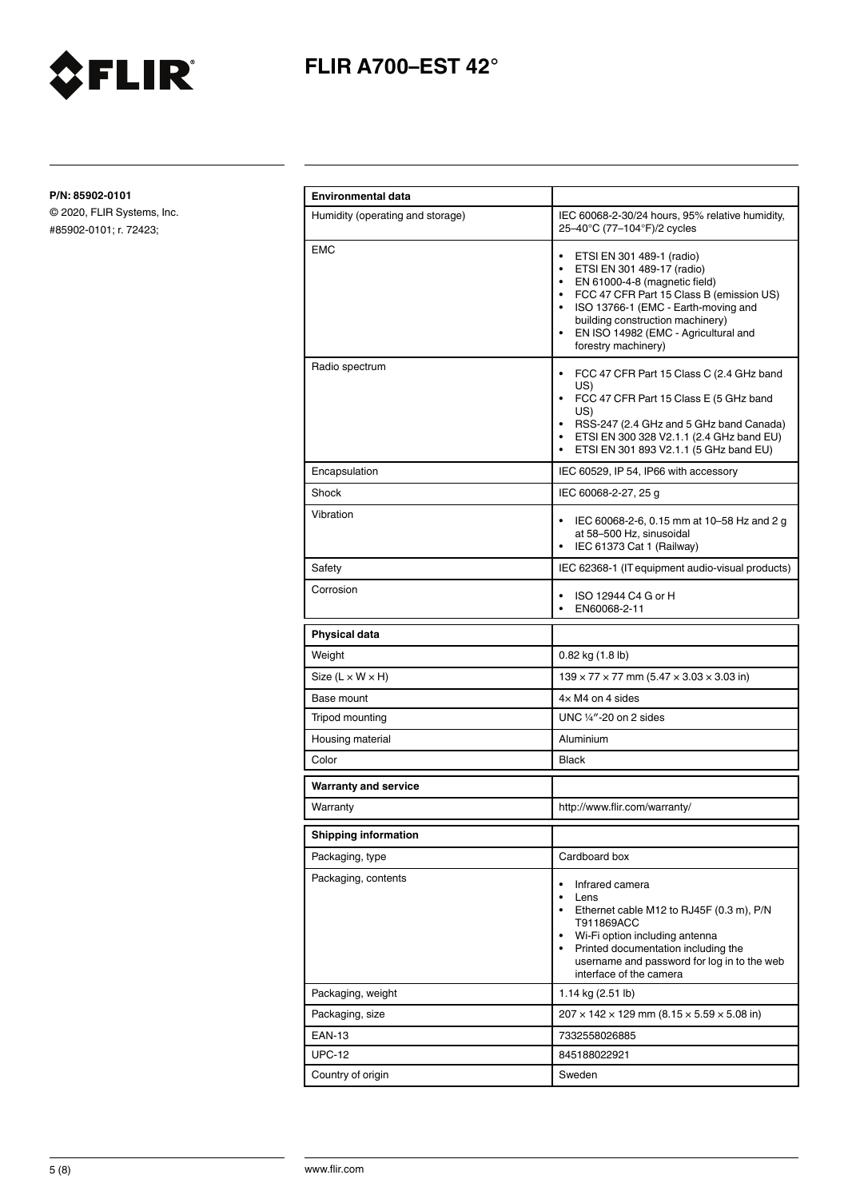

**P/N: 85902-0101**

| <b>Environmental data</b>        |                                                                                                                                                                                                                                                                                                                           |  |
|----------------------------------|---------------------------------------------------------------------------------------------------------------------------------------------------------------------------------------------------------------------------------------------------------------------------------------------------------------------------|--|
| Humidity (operating and storage) | IEC 60068-2-30/24 hours, 95% relative humidity,<br>25-40°C (77-104°F)/2 cycles                                                                                                                                                                                                                                            |  |
| <b>EMC</b>                       | ETSI EN 301 489-1 (radio)<br>$\bullet$<br>ETSI EN 301 489-17 (radio)<br>$\bullet$<br>EN 61000-4-8 (magnetic field)<br>$\bullet$<br>• FCC 47 CFR Part 15 Class B (emission US)<br>• ISO 13766-1 (EMC - Earth-moving and<br>building construction machinery)<br>EN ISO 14982 (EMC - Agricultural and<br>forestry machinery) |  |
| Radio spectrum                   | FCC 47 CFR Part 15 Class C (2.4 GHz band<br>٠<br>US)<br>• FCC 47 CFR Part 15 Class E (5 GHz band<br>US)<br>• RSS-247 (2.4 GHz and 5 GHz band Canada)<br>• ETSI EN 300 328 V2.1.1 (2.4 GHz band EU)<br>ETSI EN 301 893 V2.1.1 (5 GHz band EU)<br>$\bullet$                                                                 |  |
| Encapsulation                    | IEC 60529, IP 54, IP66 with accessory                                                                                                                                                                                                                                                                                     |  |
| Shock                            | IEC 60068-2-27, 25 g                                                                                                                                                                                                                                                                                                      |  |
| Vibration                        | IEC 60068-2-6, 0.15 mm at 10-58 Hz and 2 g<br>at 58-500 Hz, sinusoidal<br>IEC 61373 Cat 1 (Railway)<br>$\bullet$                                                                                                                                                                                                          |  |
| Safety                           | IEC 62368-1 (IT equipment audio-visual products)                                                                                                                                                                                                                                                                          |  |
| Corrosion                        | ISO 12944 C4 G or H<br>EN60068-2-11<br>$\bullet$                                                                                                                                                                                                                                                                          |  |
| <b>Physical data</b>             |                                                                                                                                                                                                                                                                                                                           |  |
| Weight                           | $0.82$ kg $(1.8$ lb)                                                                                                                                                                                                                                                                                                      |  |
| Size $(L \times W \times H)$     | $139 \times 77 \times 77$ mm (5.47 $\times$ 3.03 $\times$ 3.03 in)                                                                                                                                                                                                                                                        |  |
| Base mount                       | $4\times$ M4 on 4 sides                                                                                                                                                                                                                                                                                                   |  |
| Tripod mounting                  | UNC $\frac{1}{4}$ "-20 on 2 sides                                                                                                                                                                                                                                                                                         |  |
| Housing material                 | Aluminium                                                                                                                                                                                                                                                                                                                 |  |
| Color                            | <b>Black</b>                                                                                                                                                                                                                                                                                                              |  |
| <b>Warranty and service</b>      |                                                                                                                                                                                                                                                                                                                           |  |
| Warranty                         | http://www.flir.com/warranty/                                                                                                                                                                                                                                                                                             |  |
| <b>Shipping information</b>      |                                                                                                                                                                                                                                                                                                                           |  |
| Packaging, type                  | Cardboard box                                                                                                                                                                                                                                                                                                             |  |
| Packaging, contents              | Infrared camera<br>$\bullet$<br>Lens<br>$\bullet$<br>Ethernet cable M12 to RJ45F (0.3 m), P/N<br>$\bullet$<br>T911869ACC<br>Wi-Fi option including antenna<br>• Printed documentation including the<br>username and password for log in to the web<br>interface of the camera                                             |  |
| Packaging, weight                | 1.14 kg $(2.51 \text{ lb})$                                                                                                                                                                                                                                                                                               |  |
| Packaging, size                  | $207 \times 142 \times 129$ mm (8.15 $\times$ 5.59 $\times$ 5.08 in)                                                                                                                                                                                                                                                      |  |
| <b>EAN-13</b>                    | 7332558026885                                                                                                                                                                                                                                                                                                             |  |
| <b>UPC-12</b>                    | 845188022921                                                                                                                                                                                                                                                                                                              |  |
| Country of origin                | Sweden                                                                                                                                                                                                                                                                                                                    |  |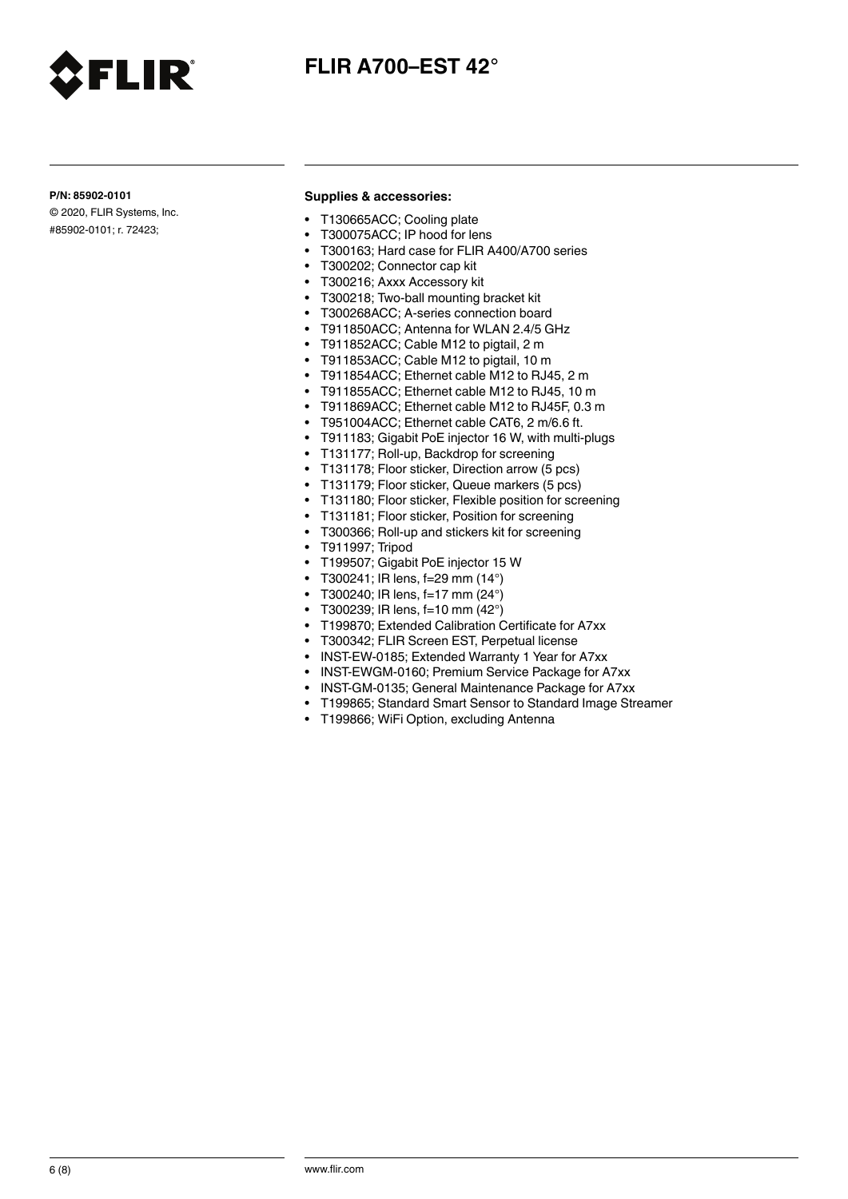

### **P/N: 85902-0101**

© 2020, FLIR Systems, Inc. #85902-0101; r. 72423;

LIR

### **Supplies & accessories:**

- T130665ACC; Cooling plate
- T300075ACC; IP hood for lens
- T300163; Hard case for FLIR A400/A700 series
- T300202; Connector cap kit
- T300216; Axxx Accessory kit
- T300218; Two-ball mounting bracket kit
- T300268ACC; A-series connection board
- T911850ACC; Antenna for WLAN 2.4/5 GHz
- T911852ACC; Cable M12 to pigtail, 2 m
- T911853ACC; Cable M12 to pigtail, 10 m
- T911854ACC; Ethernet cable M12 to RJ45, 2 m
- T911855ACC; Ethernet cable M12 to RJ45, 10 m
- T911869ACC; Ethernet cable M12 to RJ45F, 0.3 m
- T951004ACC; Ethernet cable CAT6, 2 m/6.6 ft.
- T911183; Gigabit PoE injector 16 W, with multi-plugs
- T131177; Roll-up, Backdrop for screening
- T131178; Floor sticker, Direction arrow (5 pcs)
- T131179; Floor sticker, Queue markers (5 pcs)
- T131180; Floor sticker, Flexible position for screening
- T131181; Floor sticker, Position for screening
- T300366; Roll-up and stickers kit for screening
- T911997; Tripod
- T199507; Gigabit PoE injector 15 W
- T300241; IR lens, f=29 mm  $(14^{\circ})$
- T300240; IR lens, f=17 mm (24°)
- T300239; IR lens,  $f=10$  mm  $(42^{\circ})$
- T199870; Extended Calibration Certificate for A7xx
- T300342; FLIR Screen EST, Perpetual license
- INST-EW-0185; Extended Warranty 1 Year for A7xx
- INST-EWGM-0160; Premium Service Package for A7xx
- INST-GM-0135; General Maintenance Package for A7xx
- T199865; Standard Smart Sensor to Standard Image Streamer
- T199866; WiFi Option, excluding Antenna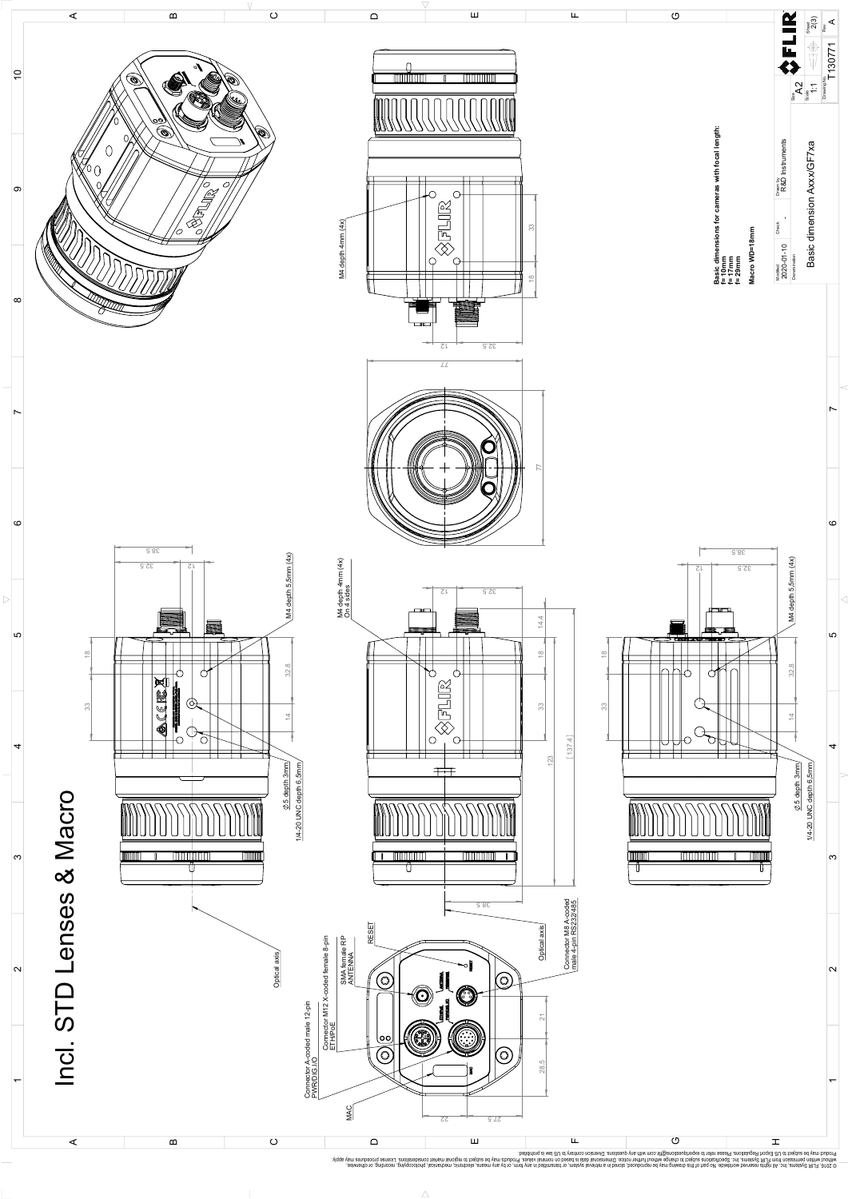